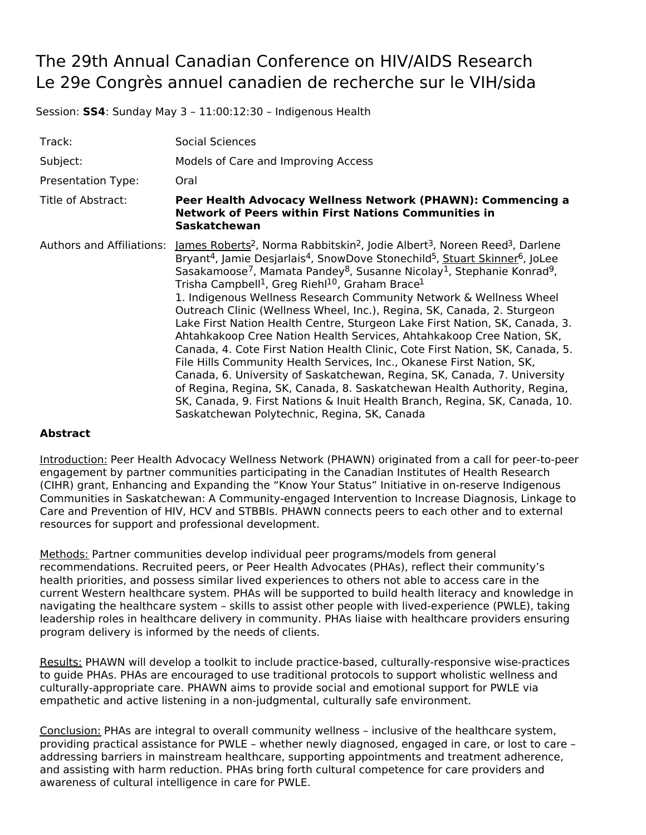## The 29th Annual Canadian Conference on HIV/AIDS Research Le 29e Congrès annuel canadien de recherche sur le VIH/sida

Session: **SS4**: Sunday May 3 – 11:00:12:30 – Indigenous Health

| Track:                    | <b>Social Sciences</b>                                                                                                                                                                                                                                                                                                                                                                                                                                                                                                                                                                                                                                                                                                                                                                                                                                                                                                                                                                                                                                                                                                                                                                                                                 |
|---------------------------|----------------------------------------------------------------------------------------------------------------------------------------------------------------------------------------------------------------------------------------------------------------------------------------------------------------------------------------------------------------------------------------------------------------------------------------------------------------------------------------------------------------------------------------------------------------------------------------------------------------------------------------------------------------------------------------------------------------------------------------------------------------------------------------------------------------------------------------------------------------------------------------------------------------------------------------------------------------------------------------------------------------------------------------------------------------------------------------------------------------------------------------------------------------------------------------------------------------------------------------|
| Subject:                  | Models of Care and Improving Access                                                                                                                                                                                                                                                                                                                                                                                                                                                                                                                                                                                                                                                                                                                                                                                                                                                                                                                                                                                                                                                                                                                                                                                                    |
| Presentation Type:        | Oral                                                                                                                                                                                                                                                                                                                                                                                                                                                                                                                                                                                                                                                                                                                                                                                                                                                                                                                                                                                                                                                                                                                                                                                                                                   |
| Title of Abstract:        | Peer Health Advocacy Wellness Network (PHAWN): Commencing a<br><b>Network of Peers within First Nations Communities in</b><br>Saskatchewan                                                                                                                                                                                                                                                                                                                                                                                                                                                                                                                                                                                                                                                                                                                                                                                                                                                                                                                                                                                                                                                                                             |
| Authors and Affiliations: | James Roberts <sup>2</sup> , Norma Rabbitskin <sup>2</sup> , Jodie Albert <sup>3</sup> , Noreen Reed <sup>3</sup> , Darlene<br>Bryant <sup>4</sup> , Jamie Desjarlais <sup>4</sup> , SnowDove Stonechild <sup>5</sup> , Stuart Skinner <sup>6</sup> , JoLee<br>Sasakamoose <sup>7</sup> , Mamata Pandey <sup>8</sup> , Susanne Nicolay <sup>1</sup> , Stephanie Konrad <sup>9</sup> ,<br>Trisha Campbell <sup>1</sup> , Greg Riehl <sup>10</sup> , Graham Brace <sup>1</sup><br>1. Indigenous Wellness Research Community Network & Wellness Wheel<br>Outreach Clinic (Wellness Wheel, Inc.), Regina, SK, Canada, 2. Sturgeon<br>Lake First Nation Health Centre, Sturgeon Lake First Nation, SK, Canada, 3.<br>Ahtahkakoop Cree Nation Health Services, Ahtahkakoop Cree Nation, SK,<br>Canada, 4. Cote First Nation Health Clinic, Cote First Nation, SK, Canada, 5.<br>File Hills Community Health Services, Inc., Okanese First Nation, SK,<br>Canada, 6. University of Saskatchewan, Regina, SK, Canada, 7. University<br>of Regina, Regina, SK, Canada, 8. Saskatchewan Health Authority, Regina,<br>SK, Canada, 9. First Nations & Inuit Health Branch, Regina, SK, Canada, 10.<br>Saskatchewan Polytechnic, Regina, SK, Canada |

## **Abstract**

Introduction: Peer Health Advocacy Wellness Network (PHAWN) originated from a call for peer-to-peer engagement by partner communities participating in the Canadian Institutes of Health Research (CIHR) grant, Enhancing and Expanding the "Know Your Status" Initiative in on-reserve Indigenous Communities in Saskatchewan: A Community-engaged Intervention to Increase Diagnosis, Linkage to Care and Prevention of HIV, HCV and STBBIs. PHAWN connects peers to each other and to external resources for support and professional development.

Methods: Partner communities develop individual peer programs/models from general recommendations. Recruited peers, or Peer Health Advocates (PHAs), reflect their community's health priorities, and possess similar lived experiences to others not able to access care in the current Western healthcare system. PHAs will be supported to build health literacy and knowledge in navigating the healthcare system – skills to assist other people with lived-experience (PWLE), taking leadership roles in healthcare delivery in community. PHAs liaise with healthcare providers ensuring program delivery is informed by the needs of clients.

Results: PHAWN will develop a toolkit to include practice-based, culturally-responsive wise-practices to guide PHAs. PHAs are encouraged to use traditional protocols to support wholistic wellness and culturally-appropriate care. PHAWN aims to provide social and emotional support for PWLE via empathetic and active listening in a non-judgmental, culturally safe environment.

Conclusion: PHAs are integral to overall community wellness – inclusive of the healthcare system, providing practical assistance for PWLE – whether newly diagnosed, engaged in care, or lost to care – addressing barriers in mainstream healthcare, supporting appointments and treatment adherence, and assisting with harm reduction. PHAs bring forth cultural competence for care providers and awareness of cultural intelligence in care for PWLE.